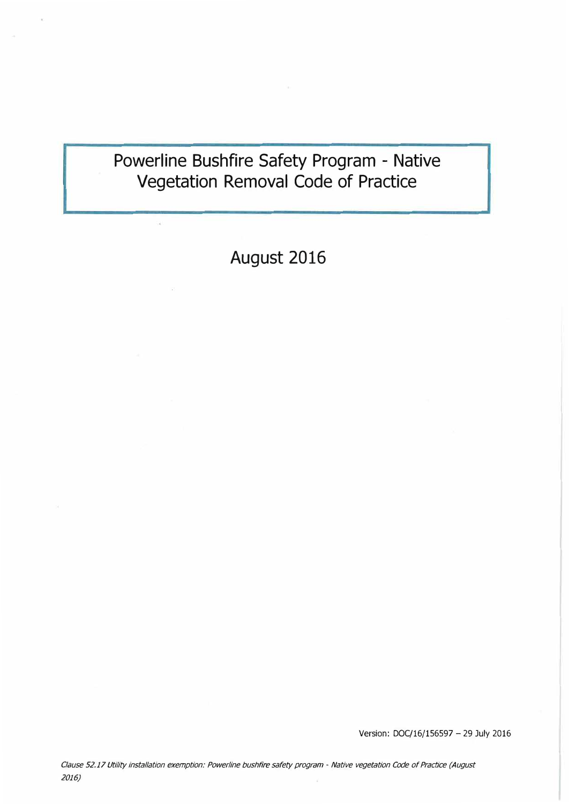# **Powerline Bushfire Safety Program - Native Vegetation Removal Code of Practice**

**August 2016** 

Version: DOC/16/156597 - 29 July 2016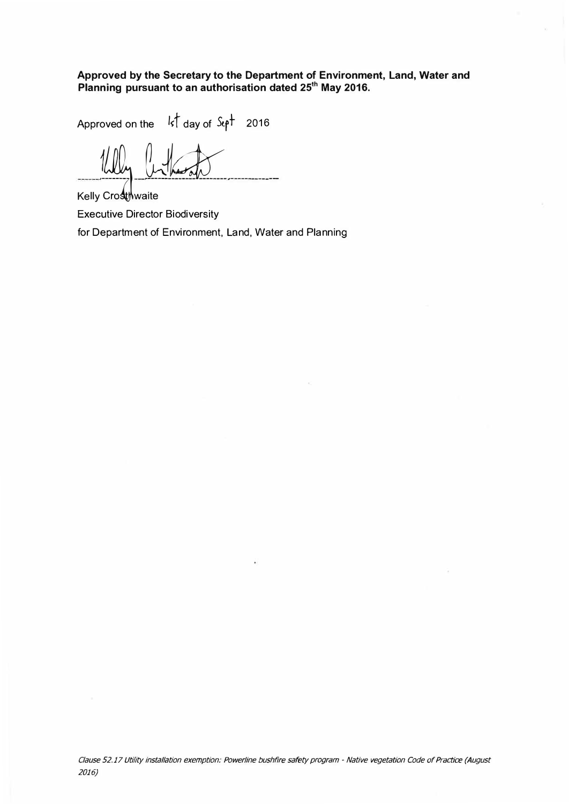**Approved by the Secretary to the Department of Environment, Land, Water and Planning pursuant to an authorisation dated 25th May 2016.** 

Approved on the  $\frac{1}{5}$  day of  $\frac{5}{5}$  2016

 $\frac{1}{\sqrt{2}}$ Kelly Crosthwaite  $\bigcup_{i=1}^n \bigcup_{k\in\mathbb{Z}} \bigcup_{j=1}^n$ 

Executive Director Biodiversity for Department of Environment, Land, Water and Planning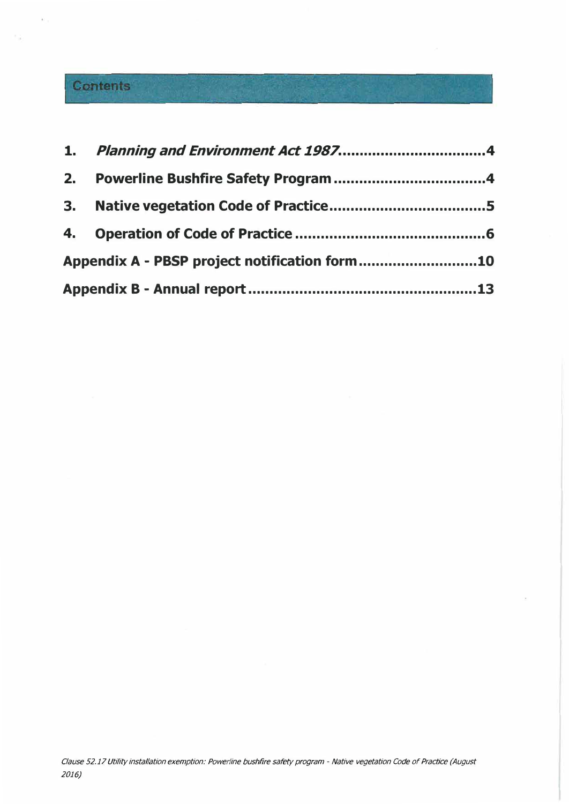# .<br>Contents and a set of the set of the set of the set of the set of the set of the set of the set of the set of

 $\overline{E}$  .

 $\tau_{\rm{th}}$ 

| Appendix A - PBSP project notification form10 |  |  |  |  |  |
|-----------------------------------------------|--|--|--|--|--|
|                                               |  |  |  |  |  |

' . ··. . � ·. . : . . . .. . . . . . . ·. . . . . '

!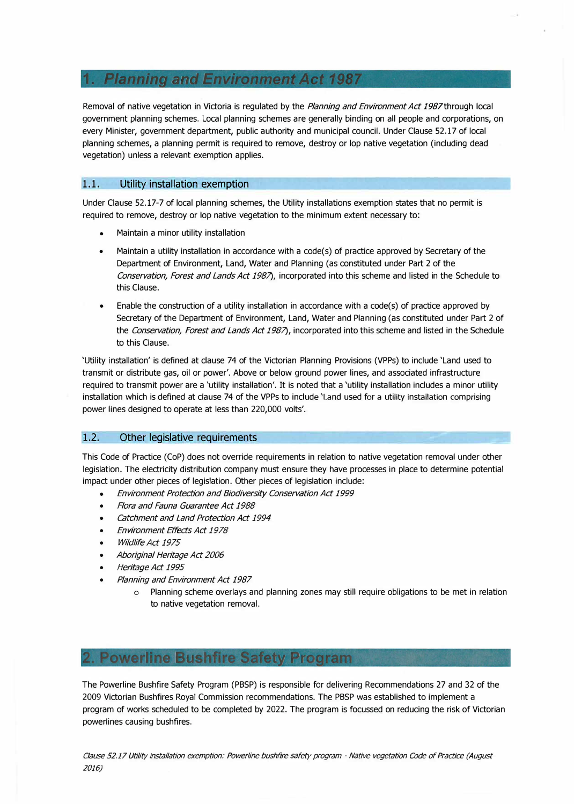## **Planning and Environment Act 1987**

Removal of native vegetation in Victoria is regulated by the *Planning and Environment Act* 1987through local government planning schemes. Local planning schemes are generally binding on all people and corporations, on every Minister, government department, public authority and municipal council. Under Clause 52.17 of local planning schemes, a planning permit is required to remove, destroy or lop native vegetation (including dead vegetation) unless a relevant exemption applies.

### **1.1. Utility installation exemption**

Under Clause 52.17-7 of local planning schemes, the Utility installations exemption states that no permit is required to remove, destroy or lop native vegetation to the minimum extent necessary to:

- Maintain a minor utility installation
- Maintain a utility installation in accordance with a code(s) of practice approved by Secretary of the Department of Environment, Land, Water and Planning (as constituted under Part 2 of the *Conservation, Forest and Lands Act 1987),* incorporated into this scheme and listed in the Schedule to this Clause.
- Enable the construction of a utility installation in accordance with a code(s) of practice approved by Secretary of the Department of Environment, Land, Water and Planning (as constituted under Part 2 of the *Conservation, Forest and Lands Act 1987),* incorporated into this scheme and listed in the Schedule to this Clause.

'Utility installation' is defined at clause 74 of the Victorian Planning Provisions (VPPs) to include 'Land used to transmit or distribute gas, oil or power'. Above or below ground power lines, and associated infrastructure required to transmit power are a 'utility installation'. It is noted that a 'utility installation includes a minor utility installation which is defined at clause 74 of the VPPs to include 'Land used for a utility installation comprising power lines designed to operate at less than 220,000 volts'.

### **1.2. Other legislative requirements**

This Code of Practice (CoP) does not override requirements in relation to native vegetation removal under other legislation. The electricity distribution company must ensure they have processes in place to determine potential impact under other pieces of legislation. Other pieces of legislation include:

- *Environment Protection and Biodiversity Conservation Act 1999*
- *Flora and Fauna Guarantee Act 1988*
- *Catchment and Land Protection Act 1994*
- *Environment Effects Act 1978*
- *Wildlife Act 1975*
- *Aboriginal Heritage Act 2006*
- *Heritage Act 1995*
- *Planning and Environment Act 1987*
	- o Planning scheme overlays and planning zones may still require obligations to be met in relation to native vegetation removal.

## . Powerline Bushfire Safety Program

The Powerline Bushfire Safety Program (PBSP) is responsible for delivering Recommendations 27 and 32 of the 2009 Victorian Bushfires Royal Commission recommendations. The PBSP was established to implement a program of works scheduled to be completed by 2022. The program is focussed on reducing the risk of Victorian powerlines causing bushfires.

*Clause 52.17 Utility installation exemption: Powerline bushfire safety program* - *Native vegetation Code of Practice (August 2016)*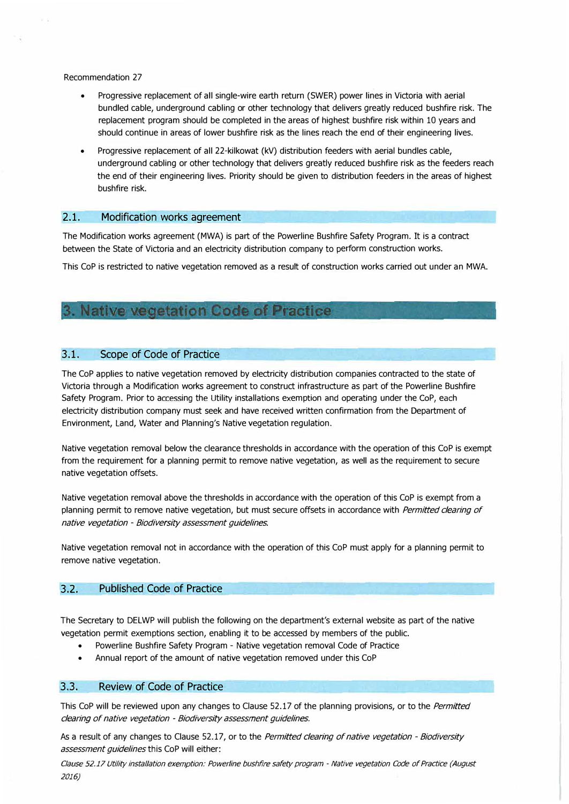#### Recommendation 27

- Progressive replacement of all single-wire earth return (SWER) power lines in Victoria with aerial bundled cable, underground cabling or other technology that delivers greatly reduced bushfire risk. The replacement program should be completed in the areas of highest bushfire risk within 10 years and should continue in areas of lower bushfire risk as the lines reach the end of their engineering lives.
- Progressive replacement of all 22-kilkowat (kV) distribution feeders with aerial bundles cable, underground cabling or other technology that delivers greatly reduced bushfire risk as the feeders reach the end of their engineering lives. Priority should be given to distribution feeders in the areas of highest bushfire risk.

#### 2.1. Modification works agreement

The Modification works agreement (MWA) is part of the Powerline Bushfire Safety Program. It is a contract between the State of Victoria and an electricity distribution company to perform construction works.

This CoP is restricted to native vegetation removed as a result of construction works carried out under an MWA.

## Native vegetation Code of Practice

#### 3.1. Scope of Code of Practice

The CoP applies to native vegetation removed by electricity distribution companies contracted to the state of Victoria through a Modification works agreement to construct infrastructure as part of the Powerline Bushfire Safety Program. Prior to accessing the Utility installations exemption and operating under the CoP, each electricity distribution company must seek and have received written confirmation from the Department of Environment, Land, Water and Planning's Native vegetation regulation.

Native vegetation removal below the clearance thresholds in accordance with the operation of this CoP is exempt from the requirement for a planning permit to remove native vegetation, as well as the requirement to secure native vegetation offsets.

Native vegetation removal above the thresholds in accordance with the operation of this CoP is exempt from a planning permit to remove native vegetation, but must secure offsets in accordance with *Permitted clearing of native vegetation* - *Biodiversity assessment gUJdelines.* 

Native vegetation removal not in accordance with the operation of this CoP must apply for a planning permit to remove native vegetation.

#### 3.2. Published Code of Practice

The Secretary to DELWP will publish the following on the department's external website as part of the native vegetation permit exemptions section, enabling it to be accessed by members of the public.

- Powerline Bushfire Safety Program Native vegetation removal Code of Practice
- Annual report of the amount of native vegetation removed under this CoP

### 3.3. Review of Code of Practice

This CoP will be reviewed upon any changes to Clause 52.17 of the planning provisions, or to the *Permitted clearing of native vegetation* - *Biodiversity assessment guidelines.* 

As a result of any changes to Clause 52.17, or to the *Permitted clearing of native vegetation* - *Biodiversity*  assessment guidelines this CoP will either:

*Clause 52.17 Utility installation exemption: Powerline bushfire safety program* - *Native vegetation Code of Practice (August 2016)*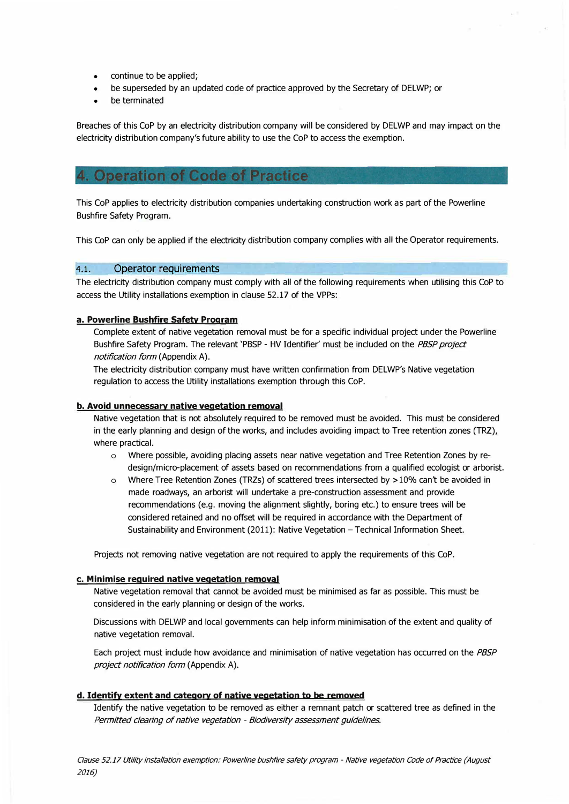- •continue to be applied;
- •be superseded by an updated code of practice approved by the Secretary of DELWP; or
- •be terminated

Breaches of this CoP by an electricity distribution company will be considered by DELWP and may impact on the electricity distribution company's future ability to use the CoP to access the exemption.

## **Operation of Code of Practice**

This CoP applies to electricity distribution companies undertaking construction work as part of the Powerline Bushfire Safety Program.

This CoP can only be applied if the electricity distribution company complies with all the Operator requirements.

#### **4.1. Operator requirements**

The electricity distribution company must comply with all of the following requirements when utilising this CoP to access the Utility installations exemption in clause 52.17 of the VPPs:

#### **a. Powerline Bushfire Safety Program**

Complete extent of native vegetation removal must be for a specific individual project under the Powerline Bushfire Safety Program. The relevant 'PBSP - HV Identifier' must be included on the *PBSP project notification form* (Appendix A).

The electricity distribution company must have written confirmation from DELWP's Native vegetation regulation to access the Utility installations exemption through this CoP.

#### **b. Avoid unnecessary native vegetation removal**

Native vegetation that is not absolutely required to be removed must be avoided. This must be considered in the early planning and design of the works, and includes avoiding impact to Tree retention zones {TRZ), where practical.

- <sup>o</sup> Where possible, avoiding placing assets near native vegetation and Tree Retention Zones by redesign/micro-placement of assets based on recommendations from a qualified ecologist or arborist.
- <sup>o</sup> Where Tree Retention Zones (TRZs) of scattered trees intersected by> 10% can't be avoided in made roadways, an arborist will undertake a pre-construction assessment and provide recommendations (e.g. moving the alignment slightly, boring etc.) to ensure trees will be considered retained and no offset will be required in accordance with the Department of Sustainability and Environment (2011): Native Vegetation - Technical Information Sheet.

Projects not removing native vegetation are not required to apply the requirements of this CoP.

#### **c. Minimise required native vegetation removal**

Native vegetation removal that cannot be avoided must be minimised as far as possible. This must be considered in the early planning or design of the works.

Discussions with DELWP and local governments can help inform minimisation of the extent and quality of native vegetation removal.

*project notification form* (Appendix A). Each project must include how avoidance and minimisation of native vegetation has occurred on the *PBSP* 

#### **d. Identify extent and category of native vegetation to be removed**

Identify the native vegetation to be removed as either a remnant patch or scattered tree as defined in the *Permitted clearing of native vegetation* - *Biodiversity assessment guidelines.*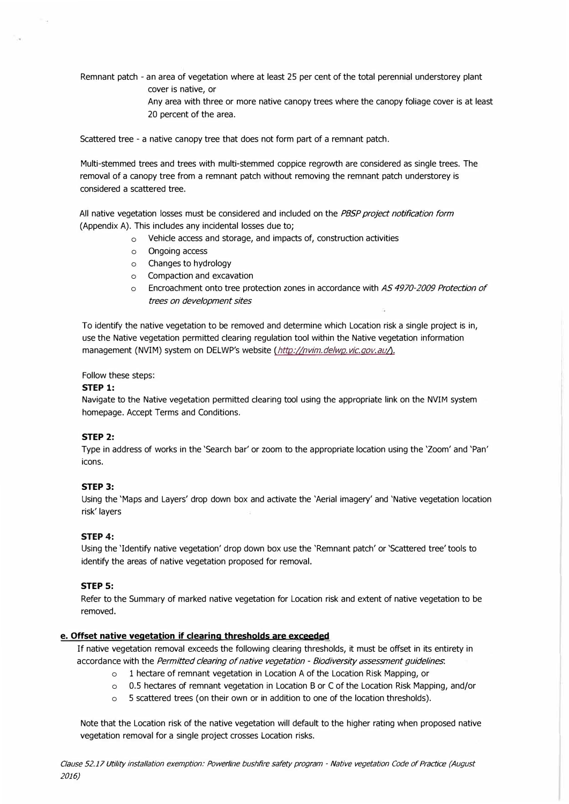Remnant patch - an area of vegetation where at least 25 per cent of the total perennial understorey plant cover is native, or Any area with three or more native canopy trees where the canopy foliage cover is at least

20 percent of the area.

Scattered tree - a native canopy tree that does not form part of a remnant patch.

Multi-stemmed trees and trees with multi-stemmed coppice regrowth are considered as single trees. The removal of a canopy tree from a remnant patch without removing the remnant patch understorey is considered a scattered tree.

All native vegetation losses must be considered and included on the *PBSP project notification form*  (Appendix A). This includes any incidental losses due to;

- <sup>o</sup> Vehicle access and storage, and impacts of, construction activities
- <sup>o</sup> Ongoing access
- <sup>o</sup> Changes to hydrology
- <sup>o</sup> Compaction and excavation
- <sup>o</sup> Encroachment onto tree protection zones in accordance with *AS 4970-2009 Protection of trees on development sites*

To identify the native vegetation to be removed and determine which Location risk a single project is in, use the Native vegetation permitted clearing regulation tool within the Native vegetation information management (NVIM) system on DELWP's website *(http://nvim.delwp.vie.gov.au/).* 

Follow these steps:

#### **STEP 1:**

Navigate to the Native vegetation permitted clearing tool using the appropriate link on the NVIM system homepage. Accept Terms and Conditions.

#### **STEP 2:**

Type in address of works in the 'Search bar' or zoom to the appropriate location using the 'Zoom' and 'Pan' icons.

#### **STEP 3:**

Using the 'Maps and Layers' drop down box and activate the 'Aerial imagery' and 'Native vegetation location risk' layers

#### **STEP 4:**

Using the 'Identify native vegetation' drop down box use the 'Remnant patch' or 'Scattered tree' tools to identify the areas of native vegetation proposed for removal.

#### **STEP 5:**

Refer to the Summary of marked native vegetation for Location risk and extent of native vegetation to be removed.

#### **e. Offset native vegetation if clearing thresholds are exceeded**

If native vegetation removal exceeds the following clearing thresholds, it must be offset in its entirety in accordance with the *Permitted clearing of native vegetation* - *Biodiversity assessment guidelines.* 

- <sup>o</sup> 1 hectare of remnant vegetation in Location A of the Location Risk Mapping, or
- <sup>o</sup> 0.5 hectares of remnant vegetation in Location B or C of the Location Risk Mapping, and/or
- <sup>o</sup> 5 scattered trees (on their own or in addition to one of the location thresholds).

Note that the Location risk of the native vegetation will default to the higher rating when proposed native vegetation removal for a single project crosses Location risks.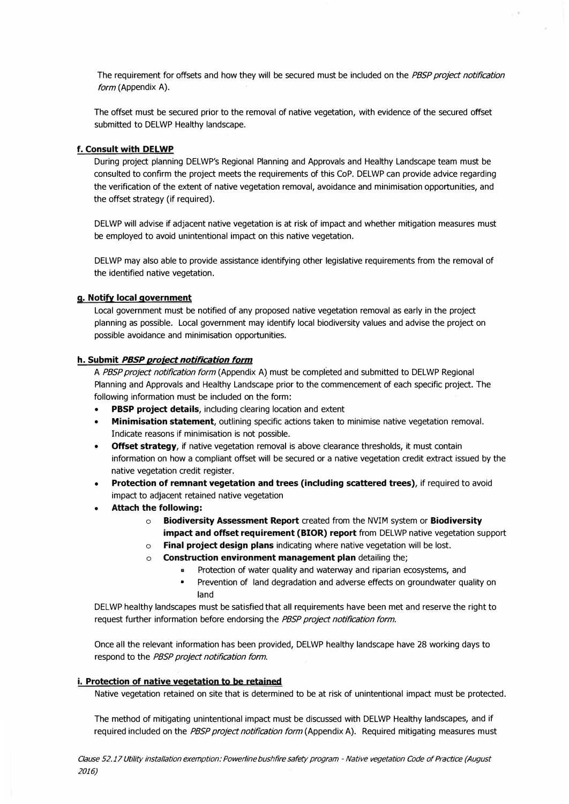The requirement for offsets and how they will be secured must be included on the *PBSP project notification form* (Appendix A).

The offset must be secured prior to the removal of native vegetation, with evidence of the secured offset submitted to DELWP Healthy landscape.

#### **f. Consult with DELWP**

During project planning DELWP's Regional Planning and Approvals and Healthy Landscape team must be consulted to confirm the project meets the requirements of this CoP. DELWP can provide advice regarding the verification of the extent of native vegetation removal, avoidance and minimisation opportunities, and the offset strategy (if required).

DELWP will advise if adjacent native vegetation is at risk of impact and whether mitigation measures must be employed to avoid unintentional impact on this native vegetation.

DELWP may also able to provide assistance identifying other legislative requirements from the removal of the identified native vegetation.

#### **q. Notify local government**

Local government must be notified of any proposed native vegetation removal as early in the project planning as possible. Local government may identify local biodiversity values and advise the project on possible avoidance and minimisation opportunities.

#### **h. Submit** *PBSP proiect notification form*

<sup>A</sup>*PBSP project notification form* (Appendix A)\_ must be completed and submitted to DELWP Regional Planning and Approvals and Healthy Landscape prior to the commencement of each specific project. The following information must be included on the form:

- •**PBSP project details, including clearing location and extent**
- • **Minimisation statement,** outlining specific actions taken to minimise native vegetation removal. Indicate reasons if minimisation is not possible.
- •**Offset strategy**, if native vegetation removal is above clearance thresholds, it must contain information on how a compliant offset will be secured or a native vegetation credit extract issued by the native vegetation credit register.
- •**Protection of remnant vegetation and trees (including scattered trees)**, if required to avoid impact to adjacent retained native vegetation
- • **Attach the following:**
	- <sup>o</sup> **Biodiversity Assessment Report** created from the NVIM system or **Biodiversity impact and offset requirement (BIOR) report** from DELWP native vegetation support
	- <sup>o</sup> **Final project design plans** indicating where native vegetation will be lost.
	- <sup>o</sup> **Construction environment management plan** detailing the;
		- Protection of water quality and waterway and riparian ecosystems, and
		- • Prevention of land degradation and adverse effects on groundwater quality on land

DELWP healthy landscapes must be satisfied that all requirements have been met and reserve the right to request further information before endorsing the *PBSP project notification form.* 

Once all the relevant information has been provided, DELWP healthy landscape have 28 working days to respond to the *PBSP project notification form.* 

#### **i. Protection of native vegetation to be retained**

Native vegetation retained on site that is determined to be at risk of unintentional impact must be protected.

The method of mitigating unintentional impact must be discussed with DELWP Healthy landscapes, and if required included on the *PBSP project notification form* (Appendix A). Required mitigating measures must

*Clause 52.17 Utility installation exemption: Powerline bushfire safety program* - *Native vegetation Code of Practice (August 2016)*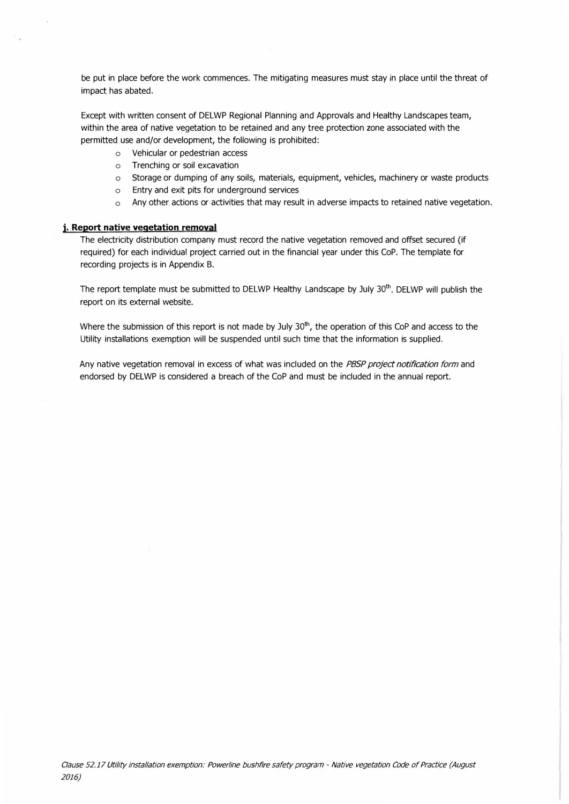be put in place before the work commences. The mitigating measures must stay in place until the threat of impact has abated.

Except with written consent of DELWP Regional Planning and Approvals and Healthy Landscapes team, within the area of native vegetation to be retained and any tree protection zone associated with the permitted use and/or development, the following is prohibited:

- o Vehicular or pedestrian access
- o Trenching or soil excavation
- $\circ$  Storage or dumping of any soils, materials, equipment, vehicles, machinery or waste products
- o Entry and exit pits for underground services
- $\circ$  Any other actions or activities that may result in adverse impacts to retained native vegetation.

#### **j. Report native vegetation removal**

The electricity distribution company must record the native vegetation removed and offset secured (if required) for each individual project carried out in the financial year under this CoP. The template for recording projects is in Appendix B.

The report template must be submitted to DELWP Healthy Landscape by July 30<sup>th</sup>. DELWP will publish the report on its external website.

Where the submission of this report is not made by July 30<sup>th</sup>, the operation of this CoP and access to the Utility installations exemption will be suspended until such time that the information is supplied.

Any native vegetation removal in excess of what was included on the *PBSP project notification form* and endorsed by DELWP is considered a breach of the CoP and must be included in the annual report.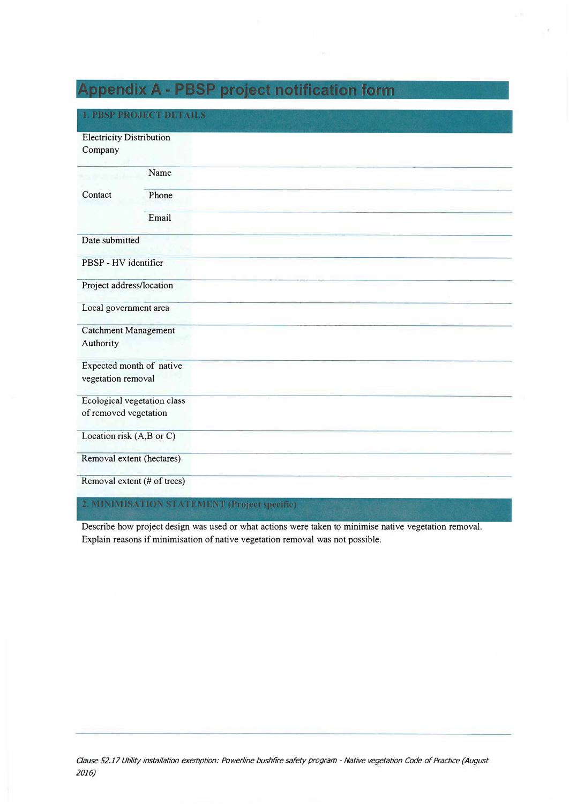# **Appendix A - PBSP project notification form**

|                                                      | <b>1. PBSP PROJECT DETAILS</b> |  |  |  |
|------------------------------------------------------|--------------------------------|--|--|--|
| <b>Electricity Distribution</b><br>Company           |                                |  |  |  |
|                                                      | Name                           |  |  |  |
| Contact                                              | Phone                          |  |  |  |
|                                                      | Email                          |  |  |  |
| Date submitted                                       |                                |  |  |  |
| PBSP - HV identifier                                 |                                |  |  |  |
| Project address/location                             |                                |  |  |  |
| Local government area                                |                                |  |  |  |
| <b>Catchment Management</b><br>Authority             |                                |  |  |  |
| vegetation removal                                   | Expected month of native       |  |  |  |
| Ecological vegetation class<br>of removed vegetation |                                |  |  |  |
| Location risk (A,B or C)                             |                                |  |  |  |
|                                                      | Removal extent (hectares)      |  |  |  |
|                                                      | Removal extent (# of trees)    |  |  |  |

### 2. MINIMISATION STATEMENT (Project specific)

Describe how project design was used or what actions were taken to minimise native vegetation removal. Explain reasons if minimisation of native vegetation removal was not possible.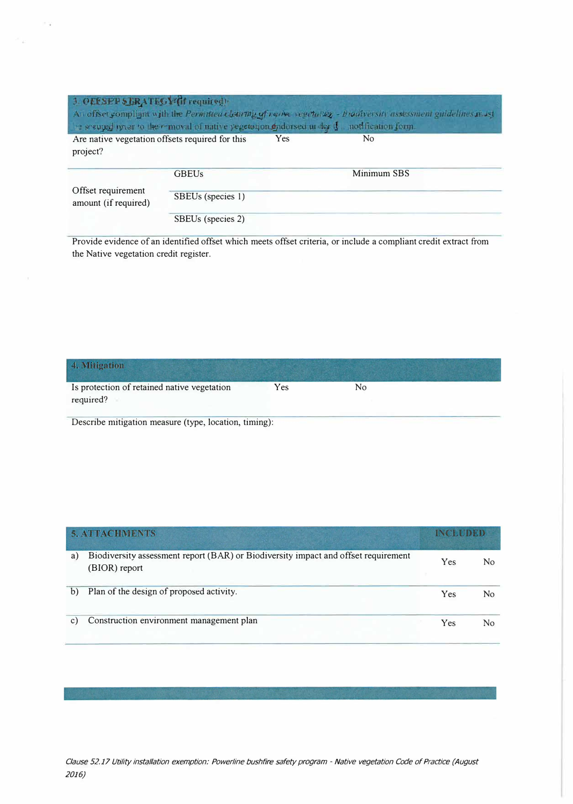| 3. OEFSEP STRATEGY (df required)<br>An offset complignt with the Permitted clearing of native vegetation - Biodiversity assessment guidelines must<br>is seeuped prior to the removal of native yegetation endorsed in der ti notification form. |                   |     |                |  |  |  |  |  |
|--------------------------------------------------------------------------------------------------------------------------------------------------------------------------------------------------------------------------------------------------|-------------------|-----|----------------|--|--|--|--|--|
| Are native vegetation offsets required for this<br>project?                                                                                                                                                                                      |                   | Yes | N <sub>0</sub> |  |  |  |  |  |
|                                                                                                                                                                                                                                                  | <b>GBEUs</b>      |     | Minimum SBS    |  |  |  |  |  |
| Offset requirement<br>amount (if required)                                                                                                                                                                                                       | SBEUs (species 1) |     |                |  |  |  |  |  |
|                                                                                                                                                                                                                                                  | SBEUs (species 2) |     |                |  |  |  |  |  |

Provide evidence of an identified offset which meets offset criteria, or include a compliant credit extract from the Native vegetation credit register.

| 4. Mitigation                                            |     |    |
|----------------------------------------------------------|-----|----|
| Is protection of retained native vegetation<br>required? | Yes | No |

Describe mitigation measure (type, location, timing):

÷,

|    | <b>5. ATTACHMENTS</b>                                                                               | <b>INCLUDED</b> |                |
|----|-----------------------------------------------------------------------------------------------------|-----------------|----------------|
| a) | Biodiversity assessment report (BAR) or Biodiversity impact and offset requirement<br>(BIOR) report | Yes             | N <sub>0</sub> |
| b) | Plan of the design of proposed activity.                                                            | Yes             | N <sub>0</sub> |
| C) | Construction environment management plan                                                            | Yes             | No             |

*Clause 52.17 Utility installation exemption: Powerline bushfire safety program* - *Native vegetation Code of Pradice (August 2016)*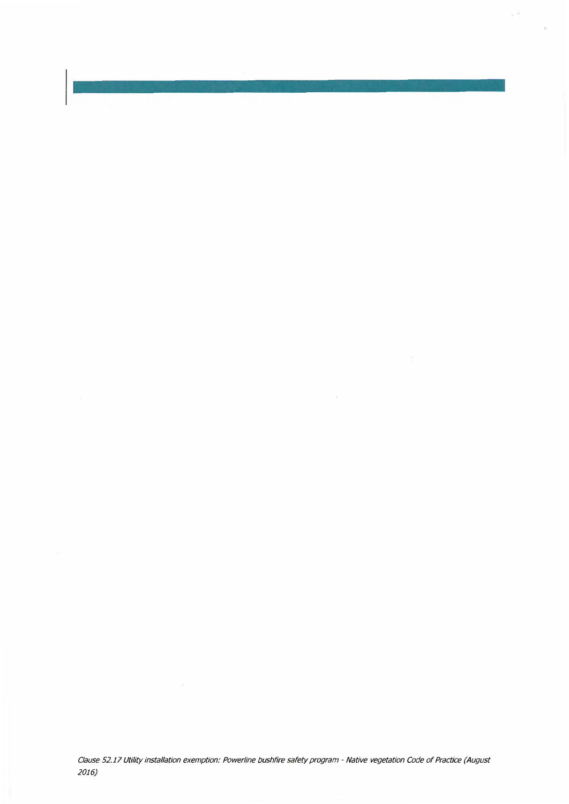*Clause 52.17 Utl'lity installation exemption: Powerline bushfire safety program - Native vegetation Code of Practice (August 2016)* 

 $_{\rm E}$   $\Omega_{\rm X}$ 

 $\bar{\tau}$